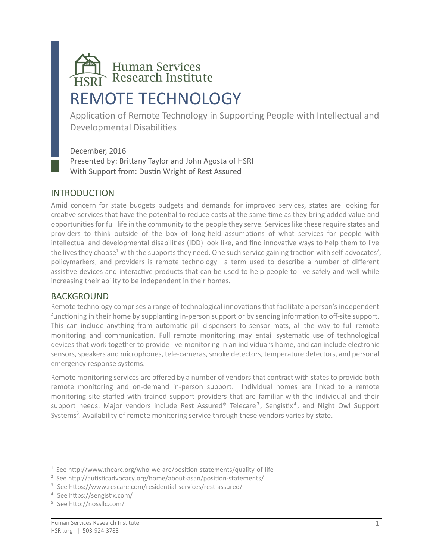# Human Services<br>Research Institute REMOTE TECHNOLOGY

Application of Remote Technology in Supporting People with Intellectual and Developmental Disabilities

December, 2016 Presented by: Brittany Taylor and John Agosta of HSRI With Support from: Dustin Wright of Rest Assured

#### INTRODUCTION

Amid concern for state budgets budgets and demands for improved services, states are looking for creative services that have the potential to reduce costs at the same time as they bring added value and opportunities for full life in the community to the people they serve. Services like these require states and providers to think outside of the box of long-held assumptions of what services for people with intellectual and developmental disabilities (IDD) look like, and find innovative ways to help them to live the lives they choose $^1$  with the supports they need. One such service gaining traction with self-advocates $^2$ , policymarkers, and providers is remote technology—a term used to describe a number of different assistive devices and interactive products that can be used to help people to live safely and well while increasing their ability to be independent in their homes.

#### BACKGROUND

Remote technology comprises a range of technological innovations that facilitate a person's independent functioning in their home by supplanting in-person support or by sending information to off-site support. This can include anything from automatic pill dispensers to sensor mats, all the way to full remote monitoring and communication. Full remote monitoring may entail systematic use of technological devices that work together to provide live-monitoring in an individual's home, and can include electronic sensors, speakers and microphones, tele-cameras, smoke detectors, temperature detectors, and personal emergency response systems.

Remote monitoring services are offered by a number of vendors that contract with states to provide both remote monitoring and on-demand in-person support. Individual homes are linked to a remote monitoring site staffed with trained support providers that are familiar with the individual and their support needs. Major vendors include Rest Assured® Telecare<sup>3</sup>, Sengistix<sup>4</sup>, and Night Owl Support Systems<sup>5</sup>. Availability of remote monitoring service through these vendors varies by state.

 $\overline{a}$ 

<sup>&</sup>lt;sup>1</sup> See http://www.thearc.org/who-we-are/position-statements/quality-of-life

<sup>2</sup> See http://autisticadvocacy.org/home/about-asan/position-statements/

<sup>3</sup> See https://www.rescare.com/residential-services/rest-assured/

<sup>4</sup> See https://sengistix.com/

<sup>5</sup> See http://nossllc.com/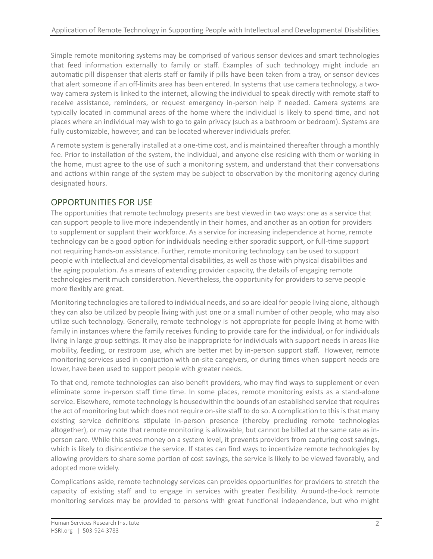Simple remote monitoring systems may be comprised of various sensor devices and smart technologies that feed information externally to family or staff. Examples of such technology might include an automatic pill dispenser that alerts staff or family if pills have been taken from a tray, or sensor devices that alert someone if an off-limits area has been entered. In systems that use camera technology, a twoway camera system is linked to the internet, allowing the individual to speak directly with remote staff to receive assistance, reminders, or request emergency in-person help if needed. Camera systems are typically located in communal areas of the home where the individual is likely to spend time, and not places where an individual may wish to go to gain privacy (such as a bathroom or bedroom). Systems are fully customizable, however, and can be located wherever individuals prefer.

A remote system is generally installed at a one-time cost, and is maintained thereafter through a monthly fee. Prior to installation of the system, the individual, and anyone else residing with them or working in the home, must agree to the use of such a monitoring system, and understand that their conversations and actions within range of the system may be subject to observation by the monitoring agency during designated hours.

# OPPORTUNITIES FOR USE

The opportunities that remote technology presents are best viewed in two ways: one as a service that can support people to live more independently in their homes, and another as an option for providers to supplement or supplant their workforce. As a service for increasing independence at home, remote technology can be a good option for individuals needing either sporadic support, or full-time support not requiring hands-on assistance. Further, remote monitoring technology can be used to support people with intellectual and developmental disabilities, as well as those with physical disabilities and the aging population. As a means of extending provider capacity, the details of engaging remote technologies merit much consideration. Nevertheless, the opportunity for providers to serve people more flexibly are great.

Monitoring technologies are tailored to individual needs, and so are ideal for people living alone, although they can also be utilized by people living with just one or a small number of other people, who may also utilize such technology. Generally, remote technology is not appropriate for people living at home with family in instances where the family receives funding to provide care for the individual, or for individuals living in large group settings. It may also be inappropriate for individuals with support needs in areas like mobility, feeding, or restroom use, which are better met by in-person support staff. However, remote monitoring services used in conjuction with on-site caregivers, or during times when support needs are lower, have been used to support people with greater needs.

To that end, remote technologies can also benefit providers, who may find ways to supplement or even eliminate some in-person staff time time. In some places, remote monitoring exists as a stand-alone service. Elsewhere, remote technology is housedwithin the bounds of an established service that requires the act of monitoring but which does not require on-site staff to do so. A complication to this is that many existing service definitions stipulate in-person presence (thereby precluding remote technologies altogether), or may note that remote monitoring is allowable, but cannot be billed at the same rate as inperson care. While this saves money on a system level, it prevents providers from capturing cost savings, which is likely to disincentivize the service. If states can find ways to incentivize remote technologies by allowing providers to share some portion of cost savings, the service is likely to be viewed favorably, and adopted more widely.

Complications aside, remote technology services can provides opportunities for providers to stretch the capacity of existing staff and to engage in services with greater flexibility. Around-the-lock remote monitoring services may be provided to persons with great functional independence, but who might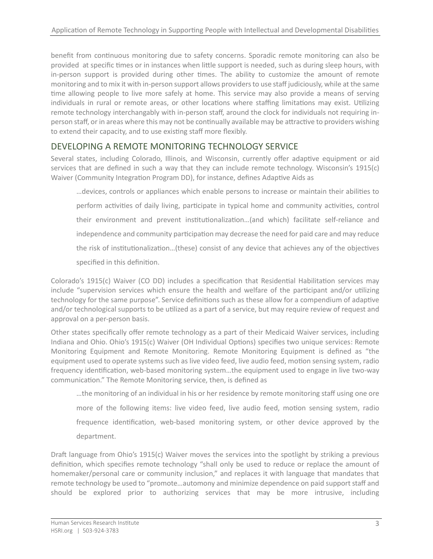benefit from continuous monitoring due to safety concerns. Sporadic remote monitoring can also be provided at specific times or in instances when little support is needed, such as during sleep hours, with in-person support is provided during other times. The ability to customize the amount of remote monitoring and to mix it with in-person support allows providers to use staff judiciously, while at the same time allowing people to live more safely at home. This service may also provide a means of serving individuals in rural or remote areas, or other locations where staffing limitations may exist. Utilizing remote technology interchangably with in-person staff, around the clock for individuals not requiring inperson staff, or in areas where this may not be continually available may be attractive to providers wishing to extend their capacity, and to use existing staff more flexibly.

# DEVELOPING A REMOTE MONITORING TECHNOLOGY SERVICE

Several states, including Colorado, Illinois, and Wisconsin, currently offer adaptive equipment or aid services that are defined in such a way that they can include remote technology. Wisconsin's 1915(c) Waiver (Community Integration Program DD), for instance, defines Adaptive Aids as

…devices, controls or appliances which enable persons to increase or maintain their abilities to perform activities of daily living, participate in typical home and community activities, control their environment and prevent institutionalization…(and which) facilitate self-reliance and independence and community participation may decrease the need for paid care and may reduce the risk of institutionalization…(these) consist of any device that achieves any of the objectives specified in this definition.

Colorado's 1915(c) Waiver (CO DD) includes a specification that Residential Habilitation services may include "supervision services which ensure the health and welfare of the participant and/or utilizing technology for the same purpose". Service definitions such as these allow for a compendium of adaptive and/or technological supports to be utilized as a part of a service, but may require review of request and approval on a per-person basis.

Other states specifically offer remote technology as a part of their Medicaid Waiver services, including Indiana and Ohio. Ohio's 1915(c) Waiver (OH Individual Options) specifies two unique services: Remote Monitoring Equipment and Remote Monitoring. Remote Monitoring Equipment is defined as "the equipment used to operate systems such as live video feed, live audio feed, motion sensing system, radio frequency identification, web-based monitoring system…the equipment used to engage in live two-way communication." The Remote Monitoring service, then, is defined as

…the monitoring of an individual in his or her residence by remote monitoring staff using one ore more of the following items: live video feed, live audio feed, motion sensing system, radio frequence identification, web-based monitoring system, or other device approved by the department.

Draft language from Ohio's 1915(c) Waiver moves the services into the spotlight by striking a previous definition, which specifies remote technology "shall only be used to reduce or replace the amount of homemaker/personal care or community inclusion," and replaces it with language that mandates that remote technology be used to "promote…automony and minimize dependence on paid support staff and should be explored prior to authorizing services that may be more intrusive, including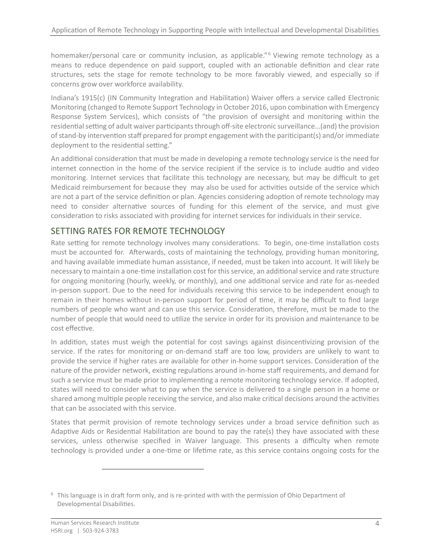homemaker/personal care or community inclusion, as applicable."<sup>6</sup> Viewing remote technology as a means to reduce dependence on paid support, coupled with an actionable definition and clear rate structures, sets the stage for remote technology to be more favorably viewed, and especially so if concerns grow over workforce availability.

Indiana's 1915(c) (IN Community Integration and Habilitation) Waiver offers a service called Electronic Monitoring (changed to Remote Support Technology in October 2016, upon combination with Emergency Response System Services), which consists of "the provision of oversight and monitoring within the residential setting of adult waiver participants through off-site electronic surveillance...(and) the provision of stand-by intervention staff prepared for prompt engagement with the pariticipant(s) and/or immediate deployment to the residential setting."

An additional consideration that must be made in developing a remote technology service is the need for internet connection in the home of the service recipient if the service is to include audtio and video monitoring. Internet services that facilitate this technology are necessary, but may be difficult to get Medicaid reimbursement for because they may also be used for activities outside of the service which are not a part of the service definition or plan. Agencies considering adoption of remote technology may need to consider alternative sources of funding for this element of the service, and must give consideration to risks associated with providing for internet services for individuals in their service.

## SETTING RATES FOR REMOTE TECHNOLOGY

Rate setting for remote technology involves many considerations. To begin, one-time installation costs must be accounted for. Afterwards, costs of maintaining the technology, providing human monitoring, and having available immediate human assistance, if needed, must be taken into account. It will likely be necessary to maintain a one-time installation cost for this service, an additional service and rate structure for ongoing monitoring (hourly, weekly, or monthly), and one additional service and rate for as-needed in-person support. Due to the need for individuals receiving this service to be independent enough to remain in their homes without in-person support for period of time, it may be difficult to find large numbers of people who want and can use this service. Consideration, therefore, must be made to the number of people that would need to utilize the service in order for its provision and maintenance to be cost effective.

In addition, states must weigh the potential for cost savings against disincentivizing provision of the service. If the rates for monitoring or on-demand staff are too low, providers are unlikely to want to provide the service if higher rates are available for other in-home support services. Consideration of the nature of the provider network, existing regulations around in-home staff requirements, and demand for such a service must be made prior to implementing a remote monitoring technology service. If adopted, states will need to consider what to pay when the service is delivered to a single person in a home or shared among multiple people receiving the service, and also make critical decisions around the activities that can be associated with this service.

States that permit provision of remote technology services under a broad service definition such as Adaptive Aids or Residential Habilitation are bound to pay the rate(s) they have associated with these services, unless otherwise specified in Waiver language. This presents a difficulty when remote technology is provided under a one-time or lifetime rate, as this service contains ongoing costs for the

 $\overline{a}$ 

 $6$  This language is in draft form only, and is re-printed with with the permission of Ohio Department of Developmental Disabilities.